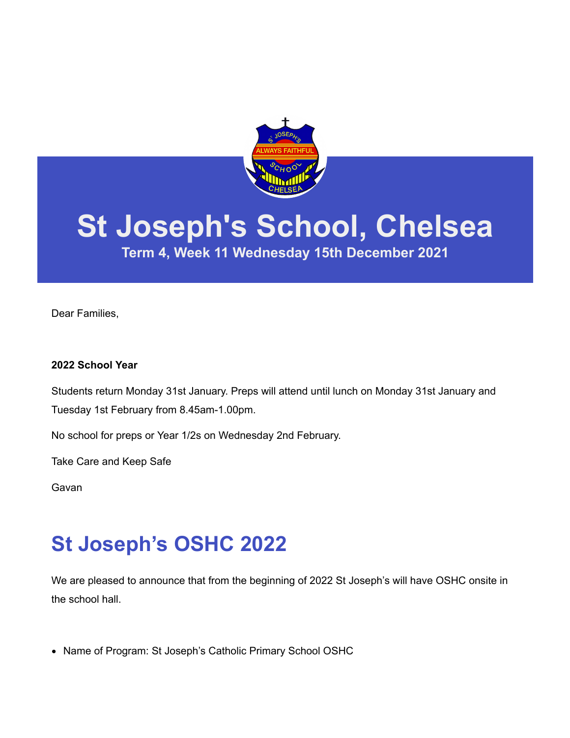

# **St Joseph's School, Chelsea**

**Term 4, Week 11 Wednesday 15th December 2021**

Dear Families,

#### **2022 School Year**

Students return Monday 31st January. Preps will attend until lunch on Monday 31st January and Tuesday 1st February from 8.45am-1.00pm.

No school for preps or Year 1/2s on Wednesday 2nd February.

Take Care and Keep Safe

Gavan

### **St Joseph's OSHC 2022**

We are pleased to announce that from the beginning of 2022 St Joseph's will have OSHC onsite in the school hall.

• Name of Program: St Joseph's Catholic Primary School OSHC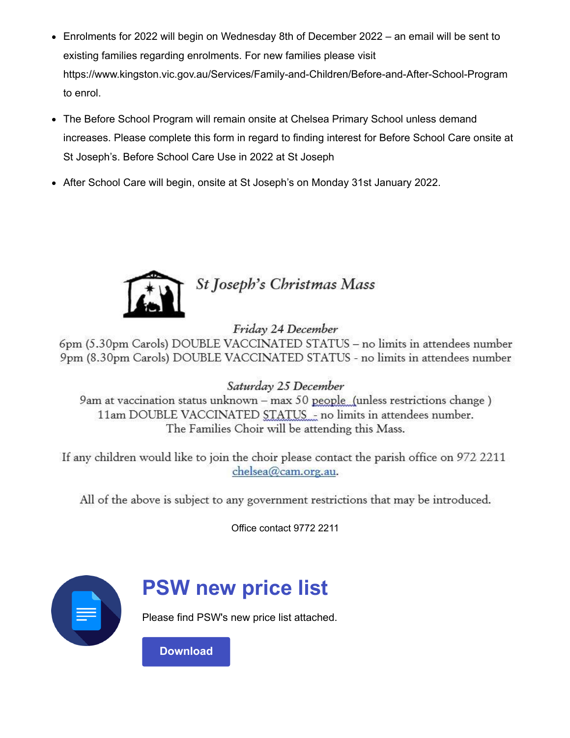- Enrolments for 2022 will begin on Wednesday 8th of December 2022 an email will be sent to existing families regarding enrolments. For new families please visit <https://www.kingston.vic.gov.au/Services/Family-and-Children/Before-and-After-School-Program> to enrol.
- The Before School Program will remain onsite at Chelsea Primary School unless demand increases. Please complete this form in regard to finding interest for Before School Care onsite at St Joseph's. [Before School Care Use in 2022 at St Joseph](https://forms.gle/C3SnKUDZnK6oqNWg6)
- After School Care will begin, onsite at St Joseph's on Monday 31st January 2022.



Friday 24 December

6pm (5.30pm Carols) DOUBLE VACCINATED STATUS - no limits in attendees number 9pm (8.30pm Carols) DOUBLE VACCINATED STATUS - no limits in attendees number

Saturday 25 December

9am at vaccination status unknown - max 50 people (unless restrictions change) 11am DOUBLE VACCINATED STATUS - no limits in attendees number. The Families Choir will be attending this Mass.

If any children would like to join the choir please contact the parish office on 972 2211 chelsea@cam.org.au.

All of the above is subject to any government restrictions that may be introduced.

Office contact 9772 2211



#### **PSW new price list**

Please find PSW's new price list attached.

**[Download](https://enewsletter.coralcommunities.com/download?file=/file_module/23506/file_download_23506_4481462279.pdf)**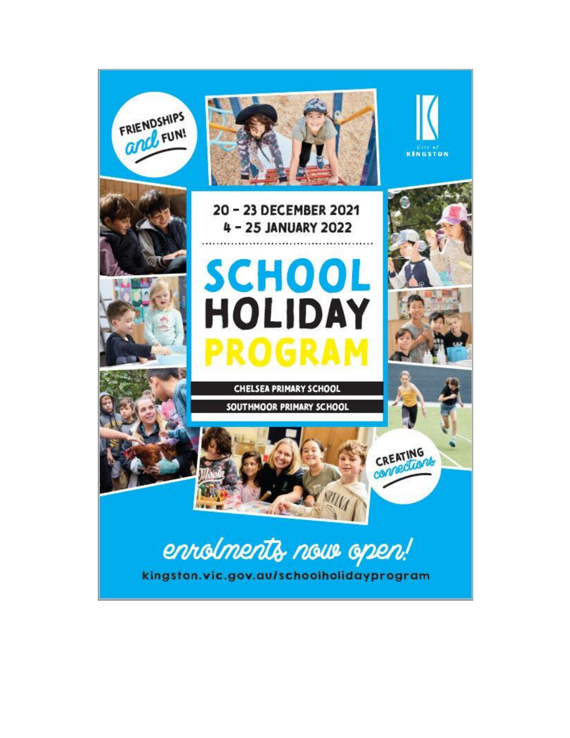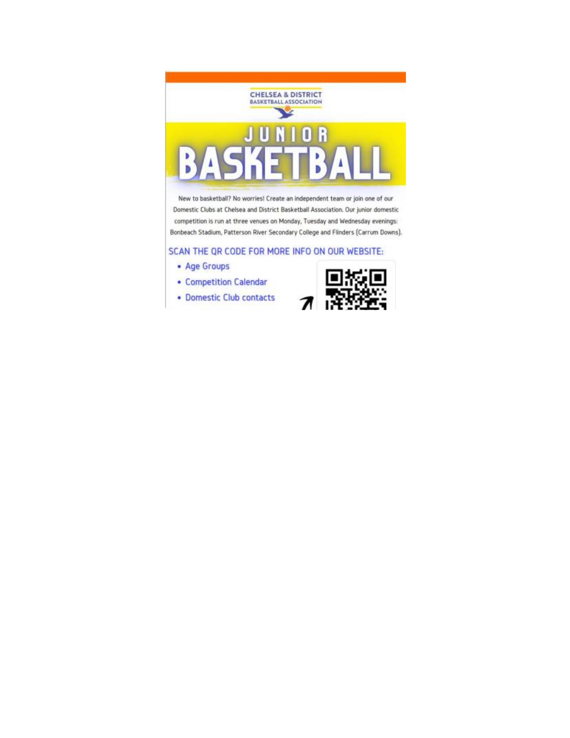

New to basketball? No worries! Create an independent team or join one of our Domestic Clubs at Chelsea and District Basketball Association. Our junior domestic competition is run at three venues on Monday, Tuesday and Wednesday evenings: Bonbeach Stadium, Patterson River Secondary College and Flinders (Carrum Downs).

SCAN THE QR CODE FOR MORE INFO ON OUR WEBSITE:

- Age Groups
- Competition Calendar
- · Domestic Club contacts

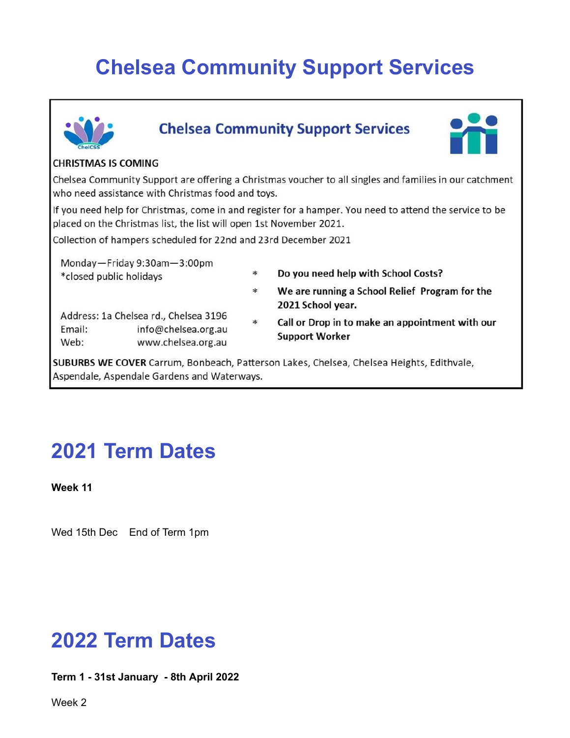## **Chelsea Community Support Services**



#### **Chelsea Community Support Services**



#### **CHRISTMAS IS COMING**

Chelsea Community Support are offering a Christmas voucher to all singles and families in our catchment who need assistance with Christmas food and toys.

If you need help for Christmas, come in and register for a hamper. You need to attend the service to be placed on the Christmas list, the list will open 1st November 2021.

Collection of hampers scheduled for 22nd and 23rd December 2021

Monday-Friday 9:30am-3:00pm \*closed public holidays

\* Do you need help with School Costs?

2021 School year.

- Address: 1a Chelsea rd., Chelsea 3196 Email: info@chelsea.org.au Web: www.chelsea.org.au
- $\ast$ Call or Drop in to make an appointment with our **Support Worker**

We are running a School Relief Program for the

SUBURBS WE COVER Carrum, Bonbeach, Patterson Lakes, Chelsea, Chelsea Heights, Edithvale, Aspendale, Aspendale Gardens and Waterways.

 $*$ 

### **2021 Term Dates**

**Week 11**

Wed 15th Dec End of Term 1pm

#### **2022 Term Dates**

**Term 1 - 31st January - 8th April 2022**